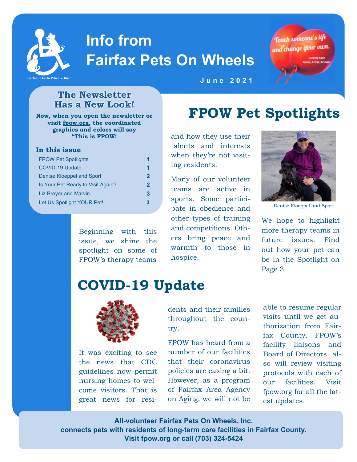

# **Info from Fairfax Pets On Wheels**



#### **The Newsletter Has a New Look!**

**Now, when you open the newsletter or visit [fpow.org,](http://www.fpow.org) the coordinated graphics and colors will say "This is FPOW!** 

#### **In this issue**

| <b>FPOW Pet Spotlights</b>        |   |
|-----------------------------------|---|
| <b>COVID-19 Update</b>            |   |
| Denise Kloeppel and Sport         | 2 |
| Is Your Pet Ready to Visit Again? | 2 |
| <b>Liz Breyer and Marvin</b>      | з |
| Let Us Spotlight YOUR Pet!        |   |

Beginning with this issue, we shine the spotlight on some of FPOW's therapy teams

#### **J u n e 2 0 2 1**

## **FPOW Pet Spotlights**

and how they use their talents and interests when they're not visiting residents.

Many of our volunteer teams are active in sports. Some participate in obedience and other types of training and competitions. Others bring peace and warmth to those in hospice.



Denise Kloeppel and Sport

We hope to highlight more therapy teams in future issues. Find out how your pet can be in the Spotlight on Page 3.

### **COVID-19 Update**



It was exciting to see the news that CDC guidelines now permit nursing homes to welcome visitors. That is great news for residents and their families throughout the country.

FPOW has heard from a number of our facilities that their coronavirus policies are easing a bit. However, as a program of Fairfax Area Agency on Aging, we will not be

able to resume regular visits until we get authorization from Fairfax County. FPOW's facility liaisons and Board of Directors also will review visiting protocols with each of our facilities. Visit [fpow.org](http://www.fpow.org/) for all the latest updates.

**All-volunteer Fairfax Pets On Wheels, Inc. connects pets with residents of long-term care facilities in Fairfax County. Visit fpow.org or call (703) 324-5424**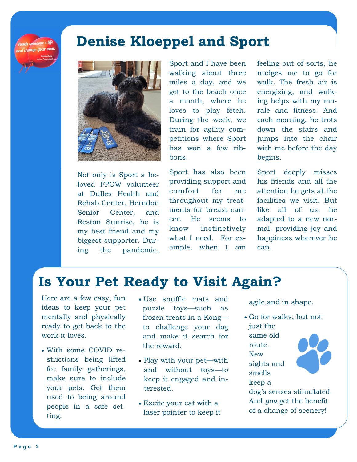**Touch someone's life** and change your own

### **Denise Kloeppel and Sport**



Not only is Sport a beloved FPOW volunteer at Dulles Health and Rehab Center, Herndon Senior Center, and Reston Sunrise, he is my best friend and my biggest supporter. During the pandemic,

Sport and I have been walking about three miles a day, and we get to the beach once a month, where he loves to play fetch. During the week, we train for agility competitions where Sport has won a few ribbons.

Sport has also been providing support and comfort for me throughout my treatments for breast cancer. He seems to know instinctively what I need. For example, when I am

feeling out of sorts, he nudges me to go for walk. The fresh air is energizing, and walking helps with my morale and fitness. And each morning, he trots down the stairs and jumps into the chair with me before the day begins.

Sport deeply misses his friends and all the attention he gets at the facilities we visit. But like all of us, he adapted to a new normal, providing joy and happiness wherever he can.

### **Is Your Pet Ready to Visit Again?**

Here are a few easy, fun ideas to keep your pet mentally and physically ready to get back to the work it loves.

- With some COVID restrictions being lifted for family gatherings, make sure to include your pets. Get them used to being around people in a safe setting.
- Use snuffle mats and puzzle toys—such as frozen treats in a Kong to challenge your dog and make it search for the reward.
- Play with your pet—with and without toys—to keep it engaged and interested.
- Excite your cat with a laser pointer to keep it

agile and in shape.

• Go for walks, but not just the same old route. New sights and smells keep a



dog's senses stimulated. And *you* get the benefit of a change of scenery!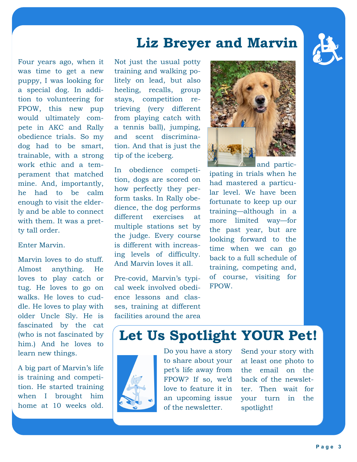#### **Liz Breyer and Marvin**

Four years ago, when it was time to get a new puppy, I was looking for a special dog. In addition to volunteering for FPOW, this new pup would ultimately compete in AKC and Rally obedience trials. So my dog had to be smart, trainable, with a strong work ethic and a temperament that matched mine. And, importantly, he had to be calm enough to visit the elderly and be able to connect with them. It was a pretty tall order.

#### Enter Marvin.

Marvin loves to do stuff. Almost anything. He loves to play catch or tug. He loves to go on walks. He loves to cuddle. He loves to play with older Uncle Sly. He is fascinated by the cat (who is not fascinated by him.) And he loves to learn new things.

A big part of Marvin's life is training and competition. He started training when I brought him home at 10 weeks old.

Not just the usual potty training and walking politely on lead, but also heeling, recalls, group stays, competition retrieving (very different from playing catch with a tennis ball), jumping, and scent discrimination. And that is just the tip of the iceberg.

In obedience competition, dogs are scored on how perfectly they perform tasks. In Rally obedience, the dog performs different exercises at multiple stations set by the judge. Every course is different with increasing levels of difficulty. And Marvin loves it all.

Pre-covid, Marvin's typical week involved obedience lessons and classes, training at different facilities around the area



ipating in trials when he had mastered a particular level. We have been fortunate to keep up our training—although in a more limited way—for the past year, but are looking forward to the time when we can go back to a full schedule of training, competing and, of course, visiting for FPOW.

### **Let Us Spotlight YOUR Pet!**



Do you have a story to share about your pet's life away from FPOW? If so, we'd love to feature it in an upcoming issue of the newsletter.

Send your story with at least one photo to the email on the back of the newsletter. Then wait for your turn in the spotlight!